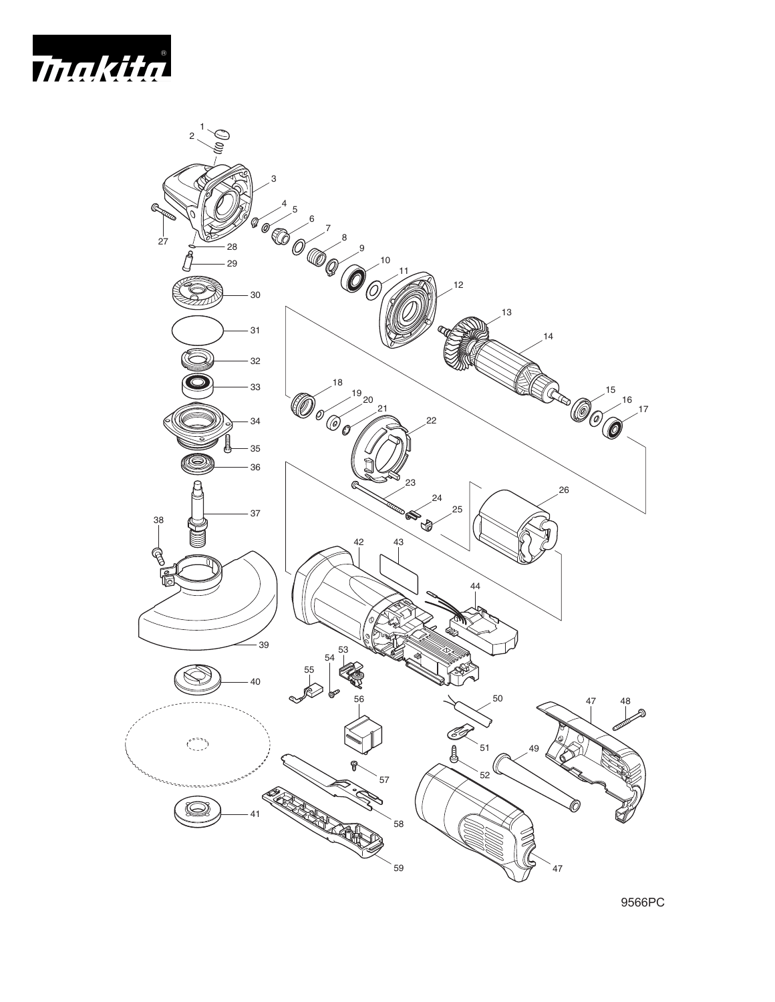Thakita



9566PC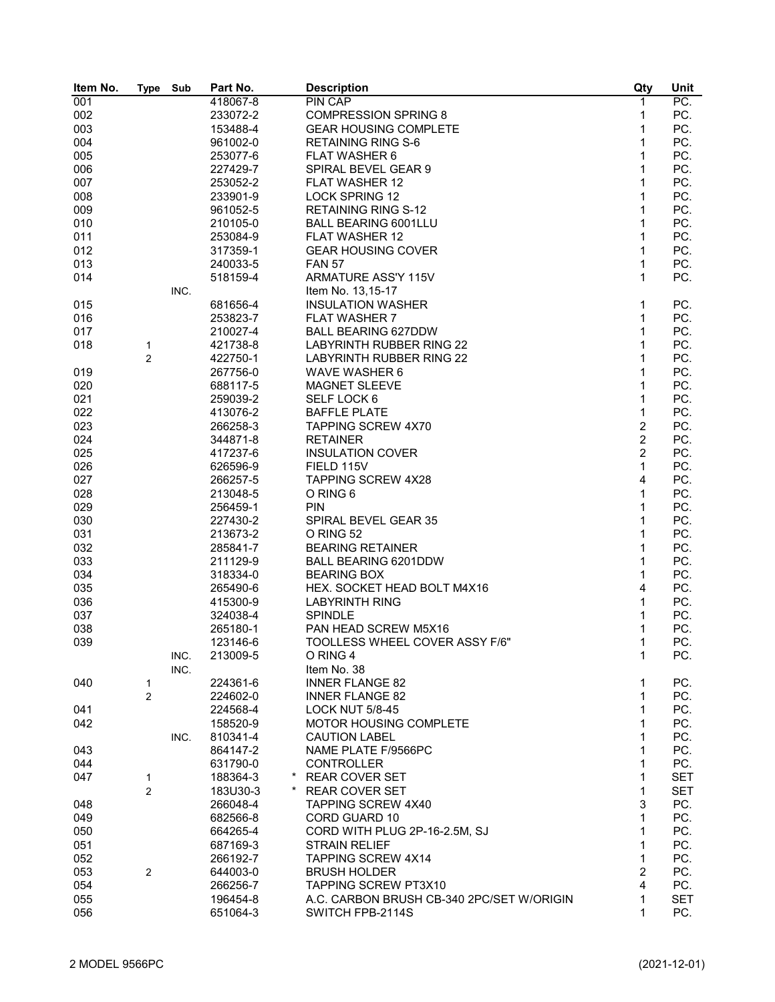| Item No. | <b>Type</b>    | Sub  | Part No. | <b>Description</b>                        | Qty            | Unit              |
|----------|----------------|------|----------|-------------------------------------------|----------------|-------------------|
| 001      |                |      | 418067-8 | PIN CAP                                   | $\mathbf 1$    | $\overline{PC}$ . |
| 002      |                |      | 233072-2 | <b>COMPRESSION SPRING 8</b>               | 1              | PC.               |
| 003      |                |      | 153488-4 | <b>GEAR HOUSING COMPLETE</b>              | 1              | PC.               |
| 004      |                |      | 961002-0 | <b>RETAINING RING S-6</b>                 | 1              | PC.               |
| 005      |                |      | 253077-6 | FLAT WASHER 6                             | 1              | PC.               |
| 006      |                |      | 227429-7 | SPIRAL BEVEL GEAR 9                       | 1              | PC.               |
| 007      |                |      | 253052-2 | <b>FLAT WASHER 12</b>                     | 1              | PC.               |
| 008      |                |      | 233901-9 | <b>LOCK SPRING 12</b>                     | 1              | PC.               |
| 009      |                |      | 961052-5 | <b>RETAINING RING S-12</b>                | 1              | PC.               |
| 010      |                |      | 210105-0 | <b>BALL BEARING 6001LLU</b>               | 1              | PC.               |
| 011      |                |      | 253084-9 | <b>FLAT WASHER 12</b>                     | 1              | PC.               |
| 012      |                |      | 317359-1 | <b>GEAR HOUSING COVER</b>                 | 1              | PC.               |
| 013      |                |      | 240033-5 | <b>FAN 57</b>                             | 1              | PC.               |
| 014      |                |      | 518159-4 | ARMATURE ASS'Y 115V                       | 1              | PC.               |
|          |                | INC. |          | Item No. 13,15-17                         |                |                   |
| 015      |                |      | 681656-4 | <b>INSULATION WASHER</b>                  | $\mathbf 1$    | PC.               |
|          |                |      |          |                                           | 1              | PC.               |
| 016      |                |      | 253823-7 | <b>FLAT WASHER 7</b>                      |                |                   |
| 017      |                |      | 210027-4 | <b>BALL BEARING 627DDW</b>                | 1              | PC.               |
| 018      | 1              |      | 421738-8 | <b>LABYRINTH RUBBER RING 22</b>           | 1              | PC.               |
|          | 2              |      | 422750-1 | <b>LABYRINTH RUBBER RING 22</b>           | 1              | PC.               |
| 019      |                |      | 267756-0 | WAVE WASHER 6                             | 1              | PC.               |
| 020      |                |      | 688117-5 | <b>MAGNET SLEEVE</b>                      | 1              | PC.               |
| 021      |                |      | 259039-2 | SELF LOCK 6                               | 1              | PC.               |
| 022      |                |      | 413076-2 | <b>BAFFLE PLATE</b>                       | 1              | PC.               |
| 023      |                |      | 266258-3 | <b>TAPPING SCREW 4X70</b>                 | $\overline{c}$ | PC.               |
| 024      |                |      | 344871-8 | <b>RETAINER</b>                           | $\overline{c}$ | PC.               |
| 025      |                |      | 417237-6 | <b>INSULATION COVER</b>                   | $\overline{2}$ | PC.               |
| 026      |                |      | 626596-9 | FIELD 115V                                | 1              | PC.               |
| 027      |                |      | 266257-5 | <b>TAPPING SCREW 4X28</b>                 | 4              | PC.               |
| 028      |                |      | 213048-5 | O RING 6                                  | 1              | PC.               |
| 029      |                |      | 256459-1 | <b>PIN</b>                                | 1              | PC.               |
| 030      |                |      | 227430-2 | SPIRAL BEVEL GEAR 35                      | 1              | PC.               |
| 031      |                |      | 213673-2 | O RING 52                                 | 1              | PC.               |
| 032      |                |      | 285841-7 | <b>BEARING RETAINER</b>                   | 1              | PC.               |
| 033      |                |      | 211129-9 | BALL BEARING 6201DDW                      | 1              | PC.               |
| 034      |                |      | 318334-0 | <b>BEARING BOX</b>                        | 1              | PC.               |
| 035      |                |      | 265490-6 | HEX. SOCKET HEAD BOLT M4X16               | 4              | PC.               |
| 036      |                |      | 415300-9 | <b>LABYRINTH RING</b>                     | 1              | PC.               |
| 037      |                |      | 324038-4 | <b>SPINDLE</b>                            | 1              | PC.               |
| 038      |                |      | 265180-1 | PAN HEAD SCREW M5X16                      | 1              | PC.               |
| 039      |                |      | 123146-6 | TOOLLESS WHEEL COVER ASSY F/6"            | 1              | PC.               |
|          |                | INC. | 213009-5 | O RING 4                                  | 1              | PC.               |
|          |                | INC. |          | Item No. 38                               |                |                   |
| 040      | 1              |      | 224361-6 | <b>INNER FLANGE 82</b>                    | 1              | PC.               |
|          | 2              |      | 224602-0 | <b>INNER FLANGE 82</b>                    | 1              | PC.               |
| 041      |                |      | 224568-4 | <b>LOCK NUT 5/8-45</b>                    | 1              | PC.               |
| 042      |                |      | 158520-9 | <b>MOTOR HOUSING COMPLETE</b>             | 1              | PC.               |
|          |                | INC. | 810341-4 | <b>CAUTION LABEL</b>                      | 1              | PC.               |
| 043      |                |      | 864147-2 | NAME PLATE F/9566PC                       | 1              | PC.               |
| 044      |                |      | 631790-0 | <b>CONTROLLER</b>                         | 1              | PC.               |
| 047      | 1              |      | 188364-3 | *<br><b>REAR COVER SET</b>                | 1              | <b>SET</b>        |
|          | $\overline{c}$ |      | 183U30-3 | $\star$<br><b>REAR COVER SET</b>          | 1              | <b>SET</b>        |
| 048      |                |      | 266048-4 | TAPPING SCREW 4X40                        | 3              | PC.               |
| 049      |                |      | 682566-8 | <b>CORD GUARD 10</b>                      | 1              | PC.               |
| 050      |                |      | 664265-4 | CORD WITH PLUG 2P-16-2.5M, SJ             | 1              | PC.               |
| 051      |                |      | 687169-3 | <b>STRAIN RELIEF</b>                      | 1              | PC.               |
| 052      |                |      | 266192-7 | <b>TAPPING SCREW 4X14</b>                 | 1              | PC.               |
| 053      | $\overline{c}$ |      | 644003-0 | <b>BRUSH HOLDER</b>                       | $\overline{c}$ | PC.               |
| 054      |                |      | 266256-7 | TAPPING SCREW PT3X10                      | 4              | PC.               |
| 055      |                |      | 196454-8 | A.C. CARBON BRUSH CB-340 2PC/SET W/ORIGIN | 1              | <b>SET</b>        |
| 056      |                |      | 651064-3 | SWITCH FPB-2114S                          | 1              | PC.               |
|          |                |      |          |                                           |                |                   |